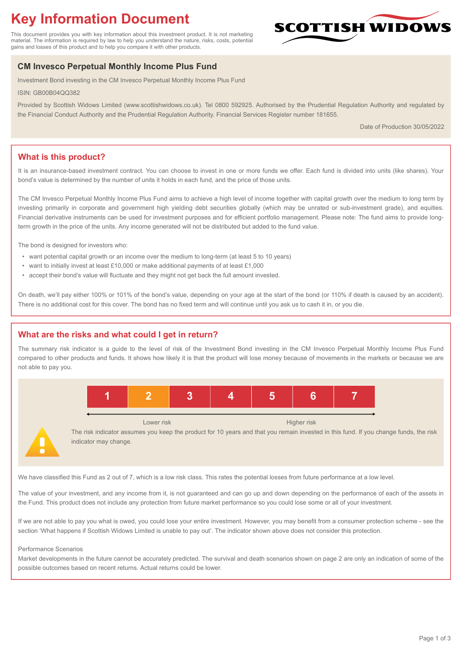# **Key Information Document**

This document provides you with key information about this investment product. It is not marketing material. The information is required by law to help you understand the nature, risks, costs, potential gains and losses of this product and to help you compare it with other products.

## **CM Invesco Perpetual Monthly Income Plus Fund**

Investment Bond investing in the CM Invesco Perpetual Monthly Income Plus Fund

ISIN: GB00B04QQ382

Provided by Scottish Widows Limited (www.scottishwidows.co.uk). Tel 0800 592925. Authorised by the Prudential Regulation Authority and regulated by the Financial Conduct Authority and the Prudential Regulation Authority. Financial Services Register number 181655.

Date of Production 30/05/2022

**SCOTTISH WIDOW** 

## **What is this product?**

It is an insurance-based investment contract. You can choose to invest in one or more funds we offer. Each fund is divided into units (like shares). Your bond's value is determined by the number of units it holds in each fund, and the price of those units.

The CM Invesco Perpetual Monthly Income Plus Fund aims to achieve a high level of income together with capital growth over the medium to long term by investing primarily in corporate and government high yielding debt securities globally (which may be unrated or sub-investment grade), and equities. Financial derivative instruments can be used for investment purposes and for efficient portfolio management. Please note: The fund aims to provide longterm growth in the price of the units. Any income generated will not be distributed but added to the fund value.

The bond is designed for investors who:

- want potential capital growth or an income over the medium to long-term (at least 5 to 10 years)
- want to initially invest at least £10,000 or make additional payments of at least £1,000
- accept their bond's value will fluctuate and they might not get back the full amount invested.

On death, we'll pay either 100% or 101% of the bond's value, depending on your age at the start of the bond (or 110% if death is caused by an accident). There is no additional cost for this cover. The bond has no fixed term and will continue until you ask us to cash it in, or you die.

## **What are the risks and what could I get in return?**

The summary risk indicator is a guide to the level of risk of the Investment Bond investing in the CM Invesco Perpetual Monthly Income Plus Fund compared to other products and funds. It shows how likely it is that the product will lose money because of movements in the markets or because we are not able to pay you.



The risk indicator assumes you keep the product for 10 years and that you remain invested in this fund. If you change funds, the risk indicator may change.

We have classified this Fund as 2 out of 7, which is a low risk class. This rates the potential losses from future performance at a low level.

The value of your investment, and any income from it, is not guaranteed and can go up and down depending on the performance of each of the assets in the Fund. This product does not include any protection from future market performance so you could lose some or all of your investment.

If we are not able to pay you what is owed, you could lose your entire investment. However, you may benefit from a consumer protection scheme - see the section 'What happens if Scottish Widows Limited is unable to pay out'. The indicator shown above does not consider this protection.

#### Performance Scenarios

Market developments in the future cannot be accurately predicted. The survival and death scenarios shown on page 2 are only an indication of some of the possible outcomes based on recent returns. Actual returns could be lower.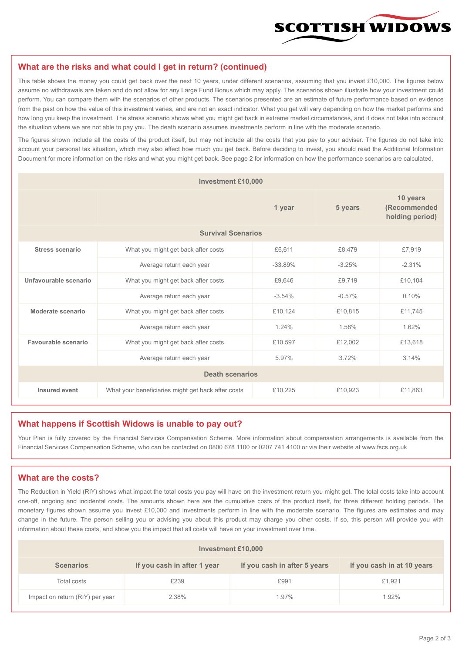

#### **What are the risks and what could I get in return? (continued)**

This table shows the money you could get back over the next 10 years, under different scenarios, assuming that you invest £10,000. The figures below assume no withdrawals are taken and do not allow for any Large Fund Bonus which may apply. The scenarios shown illustrate how your investment could perform. You can compare them with the scenarios of other products. The scenarios presented are an estimate of future performance based on evidence from the past on how the value of this investment varies, and are not an exact indicator. What you get will vary depending on how the market performs and how long you keep the investment. The stress scenario shows what you might get back in extreme market circumstances, and it does not take into account the situation where we are not able to pay you. The death scenario assumes investments perform in line with the moderate scenario.

The figures shown include all the costs of the product itself, but may not include all the costs that you pay to your adviser. The figures do not take into account your personal tax situation, which may also affect how much you get back. Before deciding to invest, you should read the Additional Information Document for more information on the risks and what you might get back. See page 2 for information on how the performance scenarios are calculated.

| <b>Investment £10,000</b> |                                                    |           |                                             |          |  |  |
|---------------------------|----------------------------------------------------|-----------|---------------------------------------------|----------|--|--|
|                           |                                                    | 5 years   | 10 years<br>(Recommended<br>holding period) |          |  |  |
| <b>Survival Scenarios</b> |                                                    |           |                                             |          |  |  |
| <b>Stress scenario</b>    | What you might get back after costs                | £6,611    | £8,479                                      | £7,919   |  |  |
|                           | Average return each year                           | $-33.89%$ | $-3.25%$                                    | $-2.31%$ |  |  |
| Unfavourable scenario     | What you might get back after costs<br>£9,646      |           | £9,719                                      | £10,104  |  |  |
|                           | Average return each year                           | $-3.54%$  | $-0.57%$                                    | 0.10%    |  |  |
| Moderate scenario         | What you might get back after costs                | £10,124   | £10,815                                     | £11.745  |  |  |
|                           | Average return each year                           | 1.24%     | 1.58%                                       | 1.62%    |  |  |
| Favourable scenario       | What you might get back after costs                | £10,597   | £12,002                                     | £13,618  |  |  |
|                           | Average return each year                           |           | 3.72%                                       | 3.14%    |  |  |
| <b>Death scenarios</b>    |                                                    |           |                                             |          |  |  |
| Insured event             | What your beneficiaries might get back after costs | £10,225   | £10,923                                     | £11,863  |  |  |

#### **What happens if Scottish Widows is unable to pay out?**

Your Plan is fully covered by the Financial Services Compensation Scheme. More information about compensation arrangements is available from the Financial Services Compensation Scheme, who can be contacted on 0800 678 1100 or 0207 741 4100 or via their website at www.fscs.org.uk

## **What are the costs?**

The Reduction in Yield (RIY) shows what impact the total costs you pay will have on the investment return you might get. The total costs take into account one-off, ongoing and incidental costs. The amounts shown here are the cumulative costs of the product itself, for three different holding periods. The monetary figures shown assume you invest £10,000 and investments perform in line with the moderate scenario. The figures are estimates and may change in the future. The person selling you or advising you about this product may charge you other costs. If so, this person will provide you with information about these costs, and show you the impact that all costs will have on your investment over time.

| Investment £10,000              |                             |                              |                            |  |  |  |
|---------------------------------|-----------------------------|------------------------------|----------------------------|--|--|--|
| <b>Scenarios</b>                | If you cash in after 1 year | If you cash in after 5 years | If you cash in at 10 years |  |  |  |
| Total costs                     | £239                        | £991                         | £1,921                     |  |  |  |
| Impact on return (RIY) per year | 2.38%                       | 1.97%                        | 1.92%                      |  |  |  |